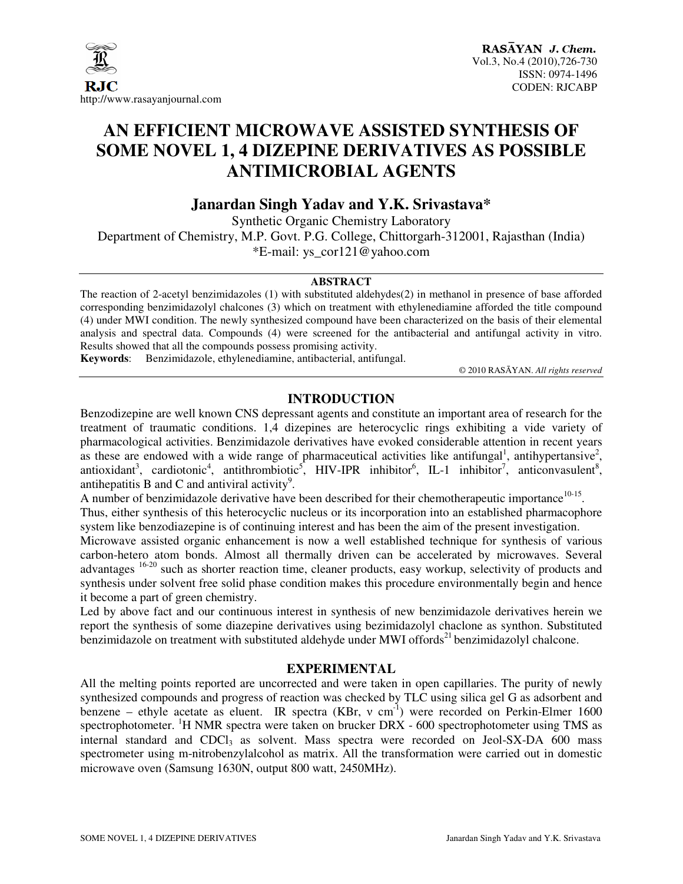

### **AN EFFICIENT MICROWAVE ASSISTED SYNTHESIS OF SOME NOVEL 1, 4 DIZEPINE DERIVATIVES AS POSSIBLE ANTIMICROBIAL AGENTS**

**Janardan Singh Yadav and Y.K. Srivastava\*** 

Synthetic Organic Chemistry Laboratory Department of Chemistry, M.P. Govt. P.G. College, Chittorgarh-312001, Rajasthan (India) \*E-mail: ys\_cor121@yahoo.com

#### **ABSTRACT**

The reaction of 2-acetyl benzimidazoles (1) with substituted aldehydes(2) in methanol in presence of base afforded corresponding benzimidazolyl chalcones (3) which on treatment with ethylenediamine afforded the title compound (4) under MWI condition. The newly synthesized compound have been characterized on the basis of their elemental analysis and spectral data. Compounds (4) were screened for the antibacterial and antifungal activity in vitro. Results showed that all the compounds possess promising activity.

**Keywords**: Benzimidazole, ethylenediamine, antibacterial, antifungal.

© 2010 RASĀYAN. *All rights reserved*

#### **INTRODUCTION**

Benzodizepine are well known CNS depressant agents and constitute an important area of research for the treatment of traumatic conditions. 1,4 dizepines are heterocyclic rings exhibiting a vide variety of pharmacological activities. Benzimidazole derivatives have evoked considerable attention in recent years as these are endowed with a wide range of pharmaceutical activities like antifungal<sup>1</sup>, antihypertansive<sup>2</sup>, antioxidant<sup>3</sup>, cardiotonic<sup>4</sup>, antithrombiotic<sup>5</sup>, HIV-IPR inhibitor<sup>6</sup>, IL-1 inhibitor<sup>7</sup>, anticonvasulent<sup>8</sup>, antihepatitis B and C and antiviral activity<sup>9</sup>.

A number of benzimidazole derivative have been described for their chemotherapeutic importance<sup>10-15</sup>. Thus, either synthesis of this heterocyclic nucleus or its incorporation into an established pharmacophore system like benzodiazepine is of continuing interest and has been the aim of the present investigation.

Microwave assisted organic enhancement is now a well established technique for synthesis of various carbon-hetero atom bonds. Almost all thermally driven can be accelerated by microwaves. Several advantages <sup>16-20</sup> such as shorter reaction time, cleaner products, easy workup, selectivity of products and synthesis under solvent free solid phase condition makes this procedure environmentally begin and hence it become a part of green chemistry.

Led by above fact and our continuous interest in synthesis of new benzimidazole derivatives herein we report the synthesis of some diazepine derivatives using bezimidazolyl chaclone as synthon. Substituted benzimidazole on treatment with substituted aldehyde under MWI offords<sup>21</sup> benzimidazolyl chalcone.

#### **EXPERIMENTAL**

All the melting points reported are uncorrected and were taken in open capillaries. The purity of newly synthesized compounds and progress of reaction was checked by TLC using silica gel G as adsorbent and benzene – ethyle acetate as eluent. IR spectra (KBr, v cm<sup>-1</sup>) were recorded on Perkin-Elmer 1600 spectrophotometer. <sup>1</sup>H NMR spectra were taken on brucker DRX - 600 spectrophotometer using TMS as internal standard and CDCl<sub>3</sub> as solvent. Mass spectra were recorded on Jeol-SX-DA 600 mass spectrometer using m-nitrobenzylalcohol as matrix. All the transformation were carried out in domestic microwave oven (Samsung 1630N, output 800 watt, 2450MHz).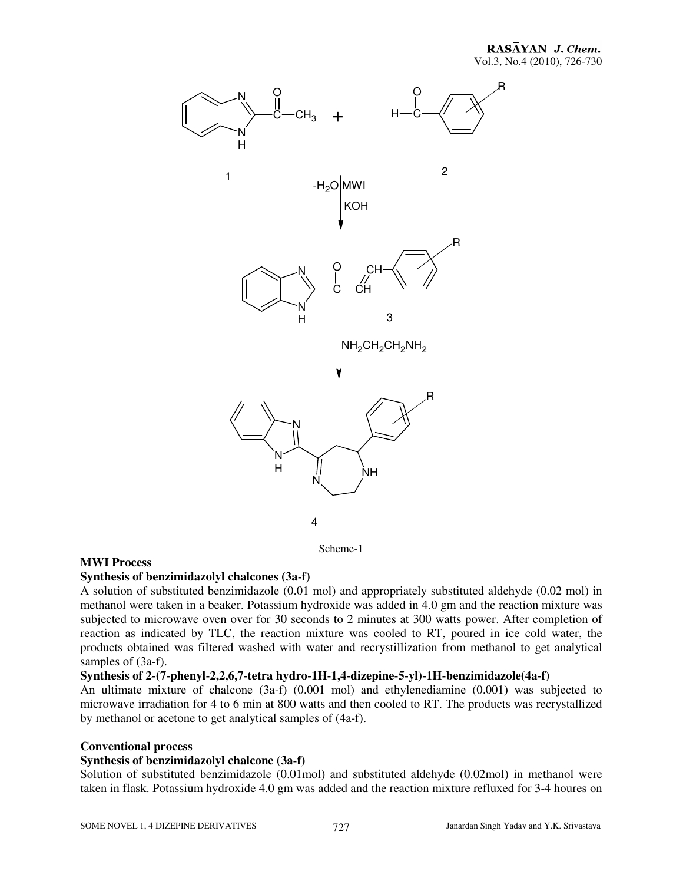R



Scheme-1

#### **MWI Process**

#### **Synthesis of benzimidazolyl chalcones (3a-f)**

A solution of substituted benzimidazole (0.01 mol) and appropriately substituted aldehyde (0.02 mol) in methanol were taken in a beaker. Potassium hydroxide was added in 4.0 gm and the reaction mixture was subjected to microwave oven over for 30 seconds to 2 minutes at 300 watts power. After completion of reaction as indicated by TLC, the reaction mixture was cooled to RT, poured in ice cold water, the products obtained was filtered washed with water and recrystillization from methanol to get analytical samples of  $(3a-f)$ .

#### **Synthesis of 2-(7-phenyl-2,2,6,7-tetra hydro-1H-1,4-dizepine-5-yl)-1H-benzimidazole(4a-f)**

An ultimate mixture of chalcone (3a-f) (0.001 mol) and ethylenediamine (0.001) was subjected to microwave irradiation for 4 to 6 min at 800 watts and then cooled to RT. The products was recrystallized by methanol or acetone to get analytical samples of (4a-f).

#### **Conventional process**

#### **Synthesis of benzimidazolyl chalcone (3a-f)**

Solution of substituted benzimidazole (0.01mol) and substituted aldehyde (0.02mol) in methanol were taken in flask. Potassium hydroxide 4.0 gm was added and the reaction mixture refluxed for 3-4 houres on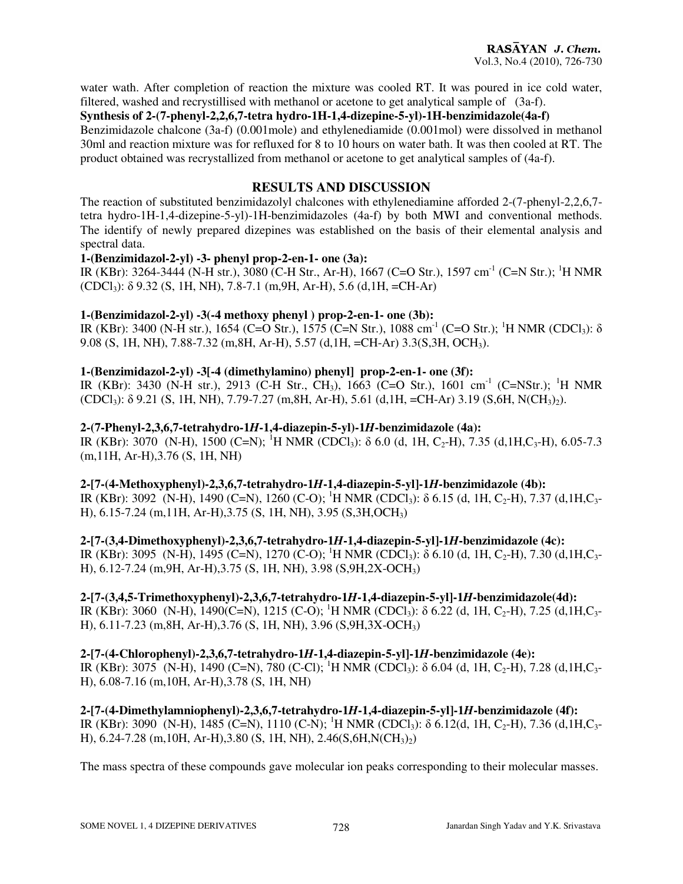water wath. After completion of reaction the mixture was cooled RT. It was poured in ice cold water, filtered, washed and recrystillised with methanol or acetone to get analytical sample of (3a-f).

#### **Synthesis of 2-(7-phenyl-2,2,6,7-tetra hydro-1H-1,4-dizepine-5-yl)-1H-benzimidazole(4a-f)**

Benzimidazole chalcone (3a-f) (0.001mole) and ethylenediamide (0.001mol) were dissolved in methanol 30ml and reaction mixture was for refluxed for 8 to 10 hours on water bath. It was then cooled at RT. The product obtained was recrystallized from methanol or acetone to get analytical samples of (4a-f).

#### **RESULTS AND DISCUSSION**

The reaction of substituted benzimidazolyl chalcones with ethylenediamine afforded 2-(7-phenyl-2,2,6,7 tetra hydro-1H-1,4-dizepine-5-yl)-1H-benzimidazoles (4a-f) by both MWI and conventional methods. The identify of newly prepared dizepines was established on the basis of their elemental analysis and spectral data.

#### **1-(Benzimidazol-2-yl) -3- phenyl prop-2-en-1- one (3a):**

IR (KBr): 3264-3444 (N-H str.), 3080 (C-H Str., Ar-H), 1667 (C=O Str.), 1597 cm-1 (C=N Str.); <sup>1</sup>H NMR  $(CDCl_3)$ :  $\delta$  9.32 (S, 1H, NH), 7.8-7.1 (m, 9H, Ar-H), 5.6 (d, 1H, =CH-Ar)

#### **1-(Benzimidazol-2-yl) -3(-4 methoxy phenyl ) prop-2-en-1- one (3b):**

IR (KBr): 3400 (N-H str.), 1654 (C=O Str.), 1575 (C=N Str.), 1088 cm<sup>-1</sup> (C=O Str.); <sup>1</sup>H NMR (CDCl<sub>3</sub>): δ 9.08 (S, 1H, NH), 7.88-7.32 (m,8H, Ar-H), 5.57 (d,1H, =CH-Ar) 3.3(S,3H, OCH3).

#### **1-(Benzimidazol-2-yl) -3[-4 (dimethylamino) phenyl] prop-2-en-1- one (3f):**

IR (KBr): 3430 (N-H str.), 2913 (C-H Str., CH<sub>3</sub>), 1663 (C=O Str.), 1601 cm<sup>-1</sup> (C=NStr.); <sup>1</sup>H NMR (CDCl3): δ 9.21 (S, 1H, NH), 7.79-7.27 (m,8H, Ar-H), 5.61 (d,1H, =CH-Ar) 3.19 (S,6H, N(CH3)2).

#### **2-(7-Phenyl-2,3,6,7-tetrahydro-1***H***-1,4-diazepin-5-yl)-1***H***-benzimidazole (4a):**

IR (KBr): 3070 (N-H), 1500 (C=N); <sup>1</sup>H NMR (CDCl<sub>3</sub>):  $\delta$  6.0 (d, 1H, C<sub>2</sub>-H), 7.35 (d,1H,C<sub>3</sub>-H), 6.05-7.3 (m,11H, Ar-H),3.76 (S, 1H, NH)

#### **2-[7-(4-Methoxyphenyl)-2,3,6,7-tetrahydro-1***H***-1,4-diazepin-5-yl]-1***H***-benzimidazole (4b):**

IR (KBr): 3092 (N-H), 1490 (C=N), 1260 (C-O); <sup>1</sup>H NMR (CDCl<sub>3</sub>):  $\delta$  6.15 (d, 1H, C<sub>2</sub>-H), 7.37 (d,1H,C<sub>3</sub>-H), 6.15-7.24 (m,11H, Ar-H),3.75 (S, 1H, NH), 3.95 (S,3H,OCH3)

**2-[7-(3,4-Dimethoxyphenyl)-2,3,6,7-tetrahydro-1***H***-1,4-diazepin-5-yl]-1***H***-benzimidazole (4c):**  IR (KBr): 3095 (N-H), 1495 (C=N), 1270 (C-O); <sup>1</sup>H NMR (CDCl<sub>3</sub>):  $\delta$  6.10 (d, 1H, C<sub>2</sub>-H), 7.30 (d,1H,C<sub>3</sub>-H), 6.12-7.24 (m,9H, Ar-H),3.75 (S, 1H, NH), 3.98 (S,9H,2X-OCH3)

#### **2-[7-(3,4,5-Trimethoxyphenyl)-2,3,6,7-tetrahydro-1***H***-1,4-diazepin-5-yl]-1***H***-benzimidazole(4d):**  IR (KBr): 3060 (N-H), 1490(C=N), 1215 (C-O); <sup>1</sup>H NMR (CDCl<sub>3</sub>):  $\delta$  6.22 (d, 1H, C<sub>2</sub>-H), 7.25 (d, 1H, C<sub>3</sub>-H), 6.11-7.23 (m,8H, Ar-H),3.76 (S, 1H, NH), 3.96 (S,9H,3X-OCH3)

**2-[7-(4-Chlorophenyl)-2,3,6,7-tetrahydro-1***H***-1,4-diazepin-5-yl]-1***H***-benzimidazole (4e):**  IR (KBr): 3075 (N-H), 1490 (C=N), 780 (C-Cl); <sup>1</sup>H NMR (CDCl<sub>3</sub>):  $\delta$  6.04 (d, 1H, C<sub>2</sub>-H), 7.28 (d, 1H, C<sub>3</sub>-H), 6.08-7.16 (m,10H, Ar-H),3.78 (S, 1H, NH)

**2-[7-(4-Dimethylamniophenyl)-2,3,6,7-tetrahydro-1***H***-1,4-diazepin-5-yl]-1***H***-benzimidazole (4f):**  IR (KBr): 3090 (N-H), 1485 (C=N), 1110 (C-N); <sup>1</sup>H NMR (CDCl<sub>3</sub>):  $\delta$  6.12(d, 1H, C<sub>2</sub>-H), 7.36 (d, 1H, C<sub>3</sub>-H),  $6.24$ -7.28 (m, 10H, Ar-H), 3.80 (S, 1H, NH), 2.46(S, 6H, N(CH<sub>3</sub>)<sub>2</sub>)

The mass spectra of these compounds gave molecular ion peaks corresponding to their molecular masses.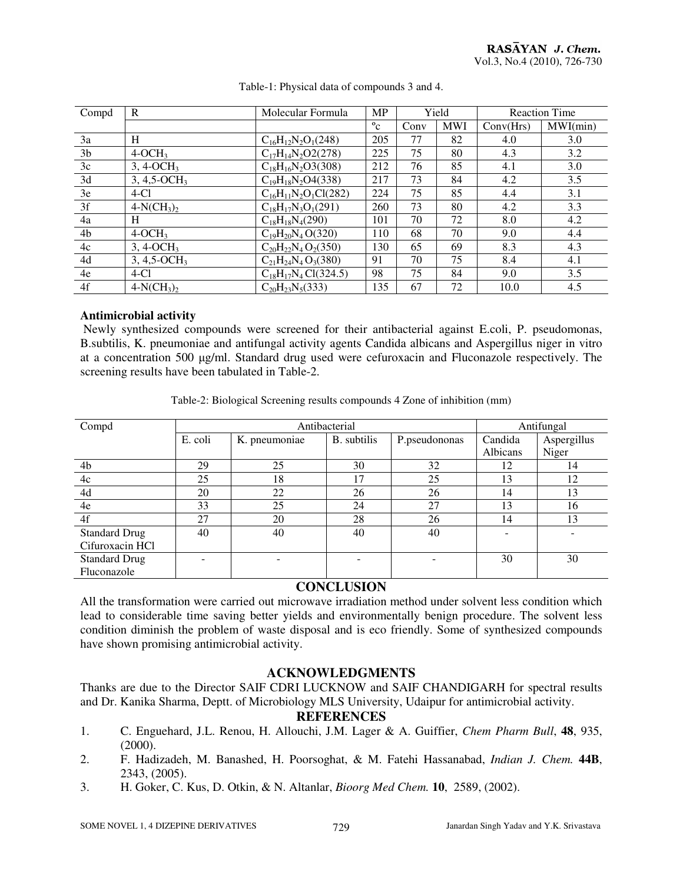| Compd          | $\mathbf R$                 | Molecular Formula           | <b>MP</b>    | Yield |            | <b>Reaction Time</b> |          |
|----------------|-----------------------------|-----------------------------|--------------|-------|------------|----------------------|----------|
|                |                             |                             | $^{\circ}$ c | Conv  | <b>MWI</b> | Conv(Hrs)            | MWI(min) |
| 3a             | H                           | $C_{16}H_{12}N_2O_1(248)$   | 205          | 77    | 82         | 4.0                  | 3.0      |
| 3 <sub>b</sub> | $4-OCH3$                    | $C_{17}H_{14}N_2O2(278)$    | 225          | 75    | 80         | 4.3                  | 3.2      |
| 3c             | $3, 4-OCH3$                 | $C_{18}H_{16}N_2O3(308)$    | 212          | 76    | 85         | 4.1                  | 3.0      |
| 3d             | $3, 4, 5$ -OCH <sub>3</sub> | $C_{19}H_{18}N_2O4(338)$    | 217          | 73    | 84         | 4.2                  | 3.5      |
| 3e             | $4-C1$                      | $C_{16}H_{11}N_2O_1Cl(282)$ | 224          | 75    | 85         | 4.4                  | 3.1      |
| 3f             | $4-N(CH_3)_2$               | $C_{18}H_{17}N_3O_1(291)$   | 260          | 73    | 80         | 4.2                  | 3.3      |
| 4a             | H                           | $C_{18}H_{18}N_4(290)$      | 101          | 70    | 72         | 8.0                  | 4.2      |
| 4 <sub>b</sub> | $4-OCH3$                    | $C_{19}H_{20}N_4O(320)$     | 110          | 68    | 70         | 9.0                  | 4.4      |
| 4c             | $3, 4$ -OCH <sub>3</sub>    | $C_{20}H_{22}N_4O_2(350)$   | 130          | 65    | 69         | 8.3                  | 4.3      |
| 4d             | $3, 4, 5$ -OCH <sub>3</sub> | $C_{21}H_{24}N_4O_3(380)$   | 91           | 70    | 75         | 8.4                  | 4.1      |
| 4e             | $4-C1$                      | $C_{18}H_{17}N_4 Cl(324.5)$ | 98           | 75    | 84         | 9.0                  | 3.5      |
| 4f             | $4-N(CH_3)_2$               | $C_{20}H_{23}N_5(333)$      | 135          | 67    | 72         | 10.0                 | 4.5      |

Table-1: Physical data of compounds 3 and 4.

#### **Antimicrobial activity**

 Newly synthesized compounds were screened for their antibacterial against E.coli, P. pseudomonas, B.subtilis, K. pneumoniae and antifungal activity agents Candida albicans and Aspergillus niger in vitro at a concentration 500 µg/ml. Standard drug used were cefuroxacin and Fluconazole respectively. The screening results have been tabulated in Table-2.

| Compd                |         | Antibacterial | Antifungal         |               |                          |             |
|----------------------|---------|---------------|--------------------|---------------|--------------------------|-------------|
|                      | E. coli | K. pneumoniae | <b>B.</b> subtilis | P.pseudononas | Candida                  | Aspergillus |
|                      |         |               |                    |               | Albicans                 | Niger       |
| 4b                   | 29      | 25            | 30                 | 32            | 12                       | 14          |
| 4c                   | 25      | 18            | 17                 | 25            | 13                       | 12          |
| 4d                   | 20      | 22            | 26                 | 26            | 14                       | 13          |
| 4e                   | 33      | 25            | 24                 | 27            | 13                       | 16          |
| 4f                   | 27      | 20            | 28                 | 26            | 14                       | 13          |
| <b>Standard Drug</b> | 40      | 40            | 40                 | 40            | $\overline{\phantom{0}}$ |             |
| Cifuroxacin HCl      |         |               |                    |               |                          |             |
| <b>Standard Drug</b> |         | -             |                    |               | 30                       | 30          |
| Fluconazole          |         |               |                    |               |                          |             |

#### **CONCLUSION**

All the transformation were carried out microwave irradiation method under solvent less condition which lead to considerable time saving better yields and environmentally benign procedure. The solvent less condition diminish the problem of waste disposal and is eco friendly. Some of synthesized compounds have shown promising antimicrobial activity.

#### **ACKNOWLEDGMENTS**

Thanks are due to the Director SAIF CDRI LUCKNOW and SAIF CHANDIGARH for spectral results and Dr. Kanika Sharma, Deptt. of Microbiology MLS University, Udaipur for antimicrobial activity.

#### **REFERENCES**

- 1. C. Enguehard, J.L. Renou, H. Allouchi, J.M. Lager & A. Guiffier, *Chem Pharm Bull*, **48**, 935, (2000).
- 2. F. Hadizadeh, M. Banashed, H. Poorsoghat, & M. Fatehi Hassanabad, *Indian J. Chem.* **44B**, 2343, (2005).
- 3. H. Goker, C. Kus, D. Otkin, & N. Altanlar, *Bioorg Med Chem.* **10**, 2589, (2002).